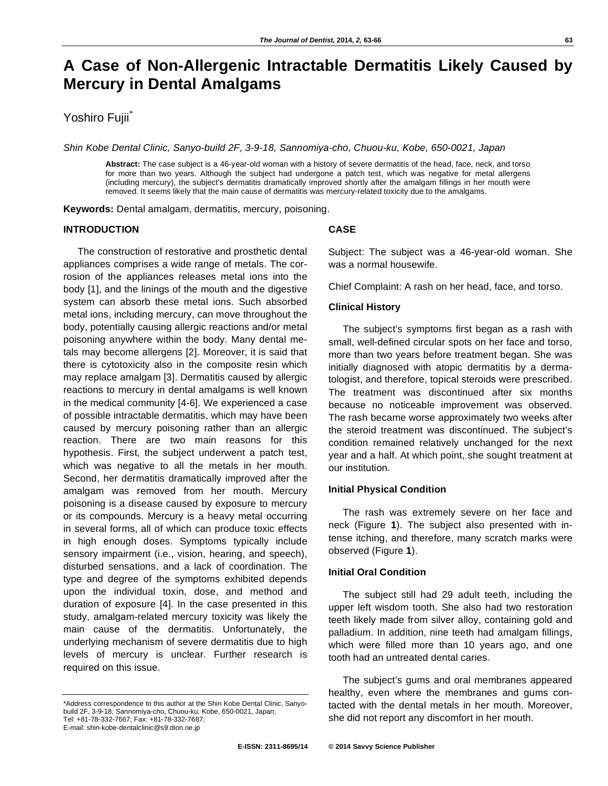# **A Case of Non-Allergenic Intractable Dermatitis Likely Caused by Mercury in Dental Amalgams**

# Yoshiro Fujii\*

*Shin Kobe Dental Clinic, Sanyo-build 2F, 3-9-18, Sannomiya-cho, Chuou-ku, Kobe, 650-0021, Japan* 

**Abstract:** The case subject is a 46-year-old woman with a history of severe dermatitis of the head, face, neck, and torso for more than two years. Although the subject had undergone a patch test, which was negative for metal allergens (including mercury), the subject's dermatitis dramatically improved shortly after the amalgam fillings in her mouth were removed. It seems likely that the main cause of dermatitis was mercury-related toxicity due to the amalgams.

**Keywords:** Dental amalgam, dermatitis, mercury, poisoning.

# **INTRODUCTION**

The construction of restorative and prosthetic dental appliances comprises a wide range of metals. The corrosion of the appliances releases metal ions into the body [1], and the linings of the mouth and the digestive system can absorb these metal ions. Such absorbed metal ions, including mercury, can move throughout the body, potentially causing allergic reactions and/or metal poisoning anywhere within the body. Many dental metals may become allergens [2]. Moreover, it is said that there is cytotoxicity also in the composite resin which may replace amalgam [3]. Dermatitis caused by allergic reactions to mercury in dental amalgams is well known in the medical community [4-6]. We experienced a case of possible intractable dermatitis, which may have been caused by mercury poisoning rather than an allergic reaction. There are two main reasons for this hypothesis. First, the subject underwent a patch test, which was negative to all the metals in her mouth. Second, her dermatitis dramatically improved after the amalgam was removed from her mouth. Mercury poisoning is a disease caused by exposure to mercury or its compounds. Mercury is a heavy metal occurring in several forms, all of which can produce toxic effects in high enough doses. Symptoms typically include sensory impairment (i.e., vision, hearing, and speech), disturbed sensations, and a lack of coordination. The type and degree of the symptoms exhibited depends upon the individual toxin, dose, and method and duration of exposure [4]. In the case presented in this study, amalgam-related mercury toxicity was likely the main cause of the dermatitis. Unfortunately, the underlying mechanism of severe dermatitis due to high levels of mercury is unclear. Further research is required on this issue.

#### **CASE**

Subject: The subject was a 46-year-old woman. She was a normal housewife.

Chief Complaint: A rash on her head, face, and torso.

## **Clinical History**

The subject's symptoms first began as a rash with small, well-defined circular spots on her face and torso, more than two years before treatment began. She was initially diagnosed with atopic dermatitis by a dermatologist, and therefore, topical steroids were prescribed. The treatment was discontinued after six months because no noticeable improvement was observed. The rash became worse approximately two weeks after the steroid treatment was discontinued. The subject's condition remained relatively unchanged for the next year and a half. At which point, she sought treatment at our institution.

#### **Initial Physical Condition**

The rash was extremely severe on her face and neck (Figure **1**). The subject also presented with intense itching, and therefore, many scratch marks were observed (Figure **1**).

#### **Initial Oral Condition**

The subject still had 29 adult teeth, including the upper left wisdom tooth. She also had two restoration teeth likely made from silver alloy, containing gold and palladium. In addition, nine teeth had amalgam fillings, which were filled more than 10 years ago, and one tooth had an untreated dental caries.

The subject's gums and oral membranes appeared healthy, even where the membranes and gums contacted with the dental metals in her mouth. Moreover, she did not report any discomfort in her mouth.

<sup>\*</sup>Address correspondence to this author at the Shin Kobe Dental Clinic, Sanyobuild 2F, 3-9-18, Sannomiya-cho, Chuou-ku, Kobe, 650-0021, Japan; Tel: +81-78-332-7667; Fax: +81-78-332-7687; E-mail: shin-kobe-dentalclinic@s9.dion.ne.jp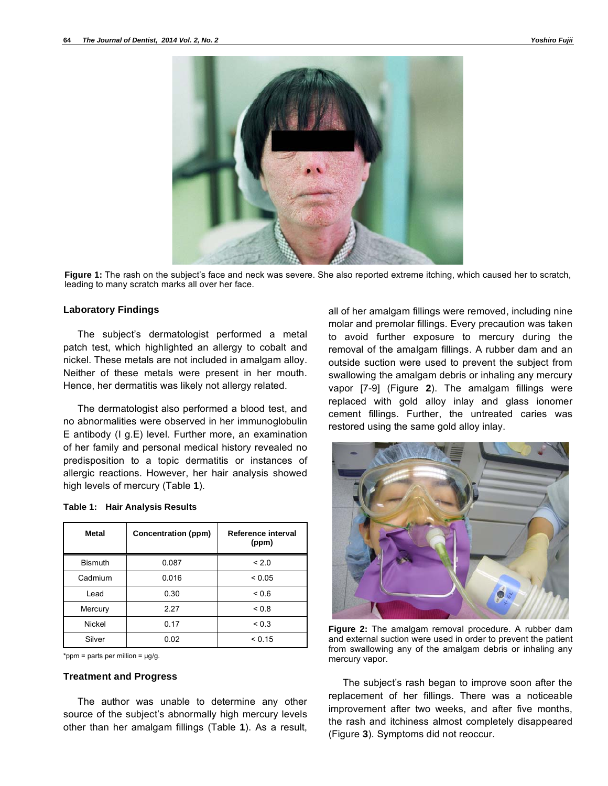

**Figure 1:** The rash on the subject's face and neck was severe. She also reported extreme itching, which caused her to scratch, leading to many scratch marks all over her face.

#### **Laboratory Findings**

The subject's dermatologist performed a metal patch test, which highlighted an allergy to cobalt and nickel. These metals are not included in amalgam alloy. Neither of these metals were present in her mouth. Hence, her dermatitis was likely not allergy related.

The dermatologist also performed a blood test, and no abnormalities were observed in her immunoglobulin E antibody (I g.E) level. Further more, an examination of her family and personal medical history revealed no predisposition to a topic dermatitis or instances of allergic reactions. However, her hair analysis showed high levels of mercury (Table **1**).

| <b>Metal</b>   | Concentration (ppm) | Reference interval<br>(ppm) |
|----------------|---------------------|-----------------------------|
| <b>Bismuth</b> | 0.087               | < 2.0                       |
| Cadmium        | 0.016               | ${}_{0.05}$                 |
| Lead           | 0.30                | 0.6                         |
| Mercury        | 2.27                | < 0.8                       |
| Nickel         | 0.17                | ${}_{0.3}$                  |
| Silver         | 0.02                | < 0.15                      |

|  |  | Table 1: Hair Analysis Results |
|--|--|--------------------------------|
|--|--|--------------------------------|

\*ppm = parts per million =  $\mu$ g/g.

#### **Treatment and Progress**

The author was unable to determine any other source of the subject's abnormally high mercury levels other than her amalgam fillings (Table **1**). As a result, all of her amalgam fillings were removed, including nine molar and premolar fillings. Every precaution was taken to avoid further exposure to mercury during the removal of the amalgam fillings. A rubber dam and an outside suction were used to prevent the subject from swallowing the amalgam debris or inhaling any mercury vapor [7-9] (Figure **2**). The amalgam fillings were replaced with gold alloy inlay and glass ionomer cement fillings. Further, the untreated caries was restored using the same gold alloy inlay.



**Figure 2:** The amalgam removal procedure. A rubber dam and external suction were used in order to prevent the patient from swallowing any of the amalgam debris or inhaling any mercury vapor.

The subject's rash began to improve soon after the replacement of her fillings. There was a noticeable improvement after two weeks, and after five months, the rash and itchiness almost completely disappeared (Figure **3**). Symptoms did not reoccur.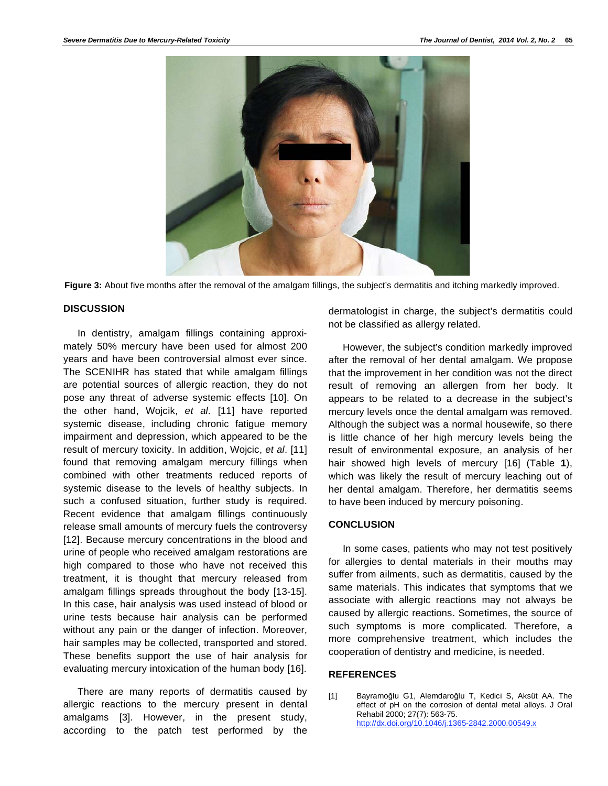

**Figure 3:** About five months after the removal of the amalgam fillings, the subject's dermatitis and itching markedly improved.

#### **DISCUSSION**

In dentistry, amalgam fillings containing approximately 50% mercury have been used for almost 200 years and have been controversial almost ever since. The SCENIHR has stated that while amalgam fillings are potential sources of allergic reaction, they do not pose any threat of adverse systemic effects [10]. On the other hand, Wojcik, *et al*. [11] have reported systemic disease, including chronic fatigue memory impairment and depression, which appeared to be the result of mercury toxicity. In addition, Wojcic, *et al*. [11] found that removing amalgam mercury fillings when combined with other treatments reduced reports of systemic disease to the levels of healthy subjects. In such a confused situation, further study is required. Recent evidence that amalgam fillings continuously release small amounts of mercury fuels the controversy [12]. Because mercury concentrations in the blood and urine of people who received amalgam restorations are high compared to those who have not received this treatment, it is thought that mercury released from amalgam fillings spreads throughout the body [13-15]. In this case, hair analysis was used instead of blood or urine tests because hair analysis can be performed without any pain or the danger of infection. Moreover, hair samples may be collected, transported and stored. These benefits support the use of hair analysis for evaluating mercury intoxication of the human body [16].

There are many reports of dermatitis caused by allergic reactions to the mercury present in dental amalgams [3]. However, in the present study, according to the patch test performed by the

dermatologist in charge, the subject's dermatitis could not be classified as allergy related.

However, the subject's condition markedly improved after the removal of her dental amalgam. We propose that the improvement in her condition was not the direct result of removing an allergen from her body. It appears to be related to a decrease in the subject's mercury levels once the dental amalgam was removed. Although the subject was a normal housewife, so there is little chance of her high mercury levels being the result of environmental exposure, an analysis of her hair showed high levels of mercury [16] (Table **1**), which was likely the result of mercury leaching out of her dental amalgam. Therefore, her dermatitis seems to have been induced by mercury poisoning.

#### **CONCLUSION**

In some cases, patients who may not test positively for allergies to dental materials in their mouths may suffer from ailments, such as dermatitis, caused by the same materials. This indicates that symptoms that we associate with allergic reactions may not always be caused by allergic reactions. Sometimes, the source of such symptoms is more complicated. Therefore, a more comprehensive treatment, which includes the cooperation of dentistry and medicine, is needed.

## **REFERENCES**

[1] Bayramoğlu G1, Alemdaroğlu T, Kedici S, Aksüt AA. The effect of pH on the corrosion of dental metal alloys. J Oral Rehabil 2000; 27(7): 563-75. http://dx.doi.org/10.1046/j.1365-2842.2000.00549.x